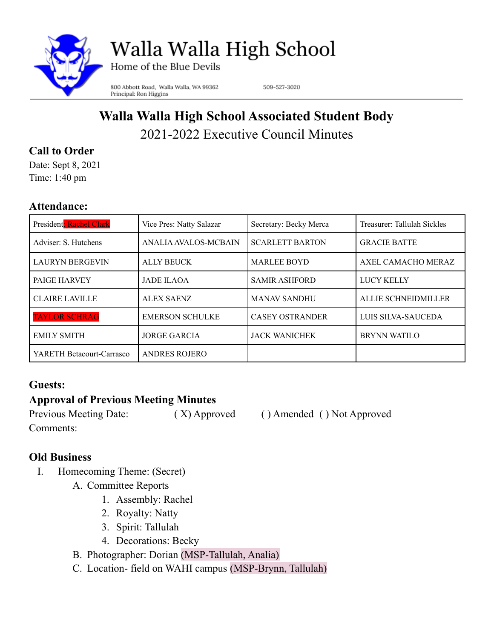

# Walla Walla High School

Home of the Blue Devils

800 Abbott Road, Walla Walla, WA 99362 Principal: Ron Higgins

509-527-3020

# **Walla Walla High School Associated Student Body** 2021-2022 Executive Council Minutes

# **Call to Order**

Date: Sept 8, 2021 Time: 1:40 pm

### **Attendance:**

| President: Rachel Clark   | Vice Pres: Natty Salazar | Secretary: Becky Merca | Treasurer: Tallulah Sickles |
|---------------------------|--------------------------|------------------------|-----------------------------|
| Adviser: S. Hutchens      | ANALIA AVALOS-MCBAIN     | <b>SCARLETT BARTON</b> | <b>GRACIE BATTE</b>         |
| <b>LAURYN BERGEVIN</b>    | <b>ALLY BEUCK</b>        | <b>MARLEE BOYD</b>     | AXEL CAMACHO MERAZ          |
| <b>PAIGE HARVEY</b>       | <b>JADE ILAOA</b>        | <b>SAMIR ASHFORD</b>   | <b>LUCY KELLY</b>           |
| <b>CLAIRE LAVILLE</b>     | <b>ALEX SAENZ</b>        | <b>MANAV SANDHU</b>    | <b>ALLIE SCHNEIDMILLER</b>  |
| <b>TAYLOR SCHRAG</b>      | <b>EMERSON SCHULKE</b>   | <b>CASEY OSTRANDER</b> | LUIS SILVA-SAUCEDA          |
| <b>EMILY SMITH</b>        | <b>JORGE GARCIA</b>      | <b>JACK WANICHEK</b>   | <b>BRYNN WATILO</b>         |
| YARETH Betacourt-Carrasco | <b>ANDRES ROJERO</b>     |                        |                             |

# **Guests:**

# **Approval of Previous Meeting Minutes**

Comments:

Previous Meeting Date: (X) Approved ( ) Amended ( ) Not Approved

# **Old Business**

- I. Homecoming Theme: (Secret)
	- A. Committee Reports
		- 1. Assembly: Rachel
		- 2. Royalty: Natty
		- 3. Spirit: Tallulah
		- 4. Decorations: Becky
	- B. Photographer: Dorian (MSP-Tallulah, Analia)
	- C. Location- field on WAHI campus (MSP-Brynn, Tallulah)